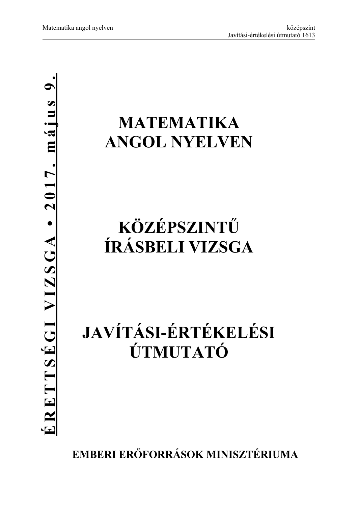# **MATEMATIKA ANGOL NYELVEN**

# **KÖZÉPSZINTŰ ÍRÁSBELI VIZSGA**

# **JAVÍTÁSI-ÉRTÉKELÉSI ÚTMUTATÓ**

**EMBERI ERŐFORRÁSOK MINISZTÉRIUMA**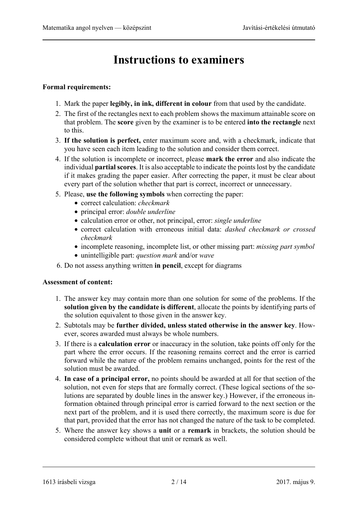## **Instructions to examiners**

#### **Formal requirements:**

- 1. Mark the paper **legibly, in ink, different in colour** from that used by the candidate.
- 2. The first of the rectangles next to each problem shows the maximum attainable score on that problem. The **score** given by the examiner is to be entered **into the rectangle** next to this.
- 3. **If the solution is perfect,** enter maximum score and, with a checkmark, indicate that you have seen each item leading to the solution and consider them correct.
- 4. If the solution is incomplete or incorrect, please **mark the error** and also indicate the individual **partial scores**. It is also acceptable to indicate the points lost by the candidate if it makes grading the paper easier. After correcting the paper, it must be clear about every part of the solution whether that part is correct, incorrect or unnecessary.
- 5. Please, **use the following symbols** when correcting the paper:
	- correct calculation: *checkmark*
	- principal error: *double underline*
	- calculation error or other, not principal, error: *single underline*
	- correct calculation with erroneous initial data: *dashed checkmark or crossed checkmark*
	- incomplete reasoning, incomplete list, or other missing part: *missing part symbol*
	- unintelligible part: *question mark* and/or *wave*
- 6. Do not assess anything written **in pencil**, except for diagrams

#### **Assessment of content:**

- 1. The answer key may contain more than one solution for some of the problems. If the **solution given by the candidate is different**, allocate the points by identifying parts of the solution equivalent to those given in the answer key.
- 2. Subtotals may be **further divided, unless stated otherwise in the answer key**. However, scores awarded must always be whole numbers.
- 3. If there is a **calculation error** or inaccuracy in the solution, take points off only for the part where the error occurs. If the reasoning remains correct and the error is carried forward while the nature of the problem remains unchanged, points for the rest of the solution must be awarded.
- 4. **In case of a principal error,** no points should be awarded at all for that section of the solution, not even for steps that are formally correct. (These logical sections of the solutions are separated by double lines in the answer key.) However, if the erroneous information obtained through principal error is carried forward to the next section or the next part of the problem, and it is used there correctly, the maximum score is due for that part, provided that the error has not changed the nature of the task to be completed.
- 5. Where the answer key shows a **unit** or a **remark** in brackets, the solution should be considered complete without that unit or remark as well.

<sup>1613</sup> írásbeli vizsga 2 / 14 2017. május 9.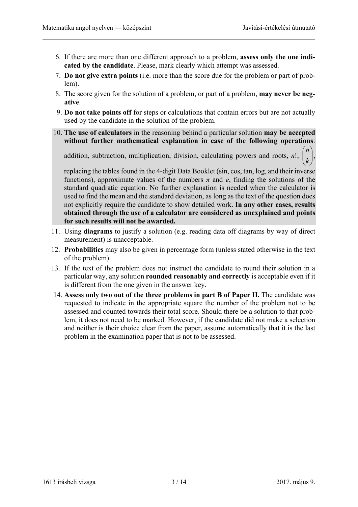j.  $\overline{\phantom{a}}$ 

 $\bigg)$  $\mathsf{I}$  $\mathsf{I}$  $\overline{\mathcal{L}}$ 

 $\sqrt{ }$ *k n* ),

- 6. If there are more than one different approach to a problem, **assess only the one indicated by the candidate**. Please, mark clearly which attempt was assessed.
- 7. **Do not give extra points** (i.e. more than the score due for the problem or part of problem).
- 8. The score given for the solution of a problem, or part of a problem, **may never be negative**.
- 9. **Do not take points off** for steps or calculations that contain errors but are not actually used by the candidate in the solution of the problem.
- 10. **The use of calculators** in the reasoning behind a particular solution **may be accepted without further mathematical explanation in case of the following operations**:

addition, subtraction, multiplication, division, calculating powers and roots, *n*!,

replacing the tables found in the 4-digit Data Booklet (sin, cos, tan, log, and their inverse functions), approximate values of the numbers  $\pi$  and  $e$ , finding the solutions of the standard quadratic equation. No further explanation is needed when the calculator is used to find the mean and the standard deviation, as long as the text of the question does not explicitly require the candidate to show detailed work. **In any other cases, results obtained through the use of a calculator are considered as unexplained and points for such results will not be awarded.**

- 11. Using **diagrams** to justify a solution (e.g. reading data off diagrams by way of direct measurement) is unacceptable.
- 12. **Probabilities** may also be given in percentage form (unless stated otherwise in the text of the problem).
- 13. If the text of the problem does not instruct the candidate to round their solution in a particular way, any solution **rounded reasonably and correctly** is acceptable even if it is different from the one given in the answer key.
- 14. **Assess only two out of the three problems in part B of Paper II.** The candidate was requested to indicate in the appropriate square the number of the problem not to be assessed and counted towards their total score. Should there be a solution to that problem, it does not need to be marked. However, if the candidate did not make a selection and neither is their choice clear from the paper, assume automatically that it is the last problem in the examination paper that is not to be assessed.

1613 írásbeli vizsga 3 / 14 2017. május 9.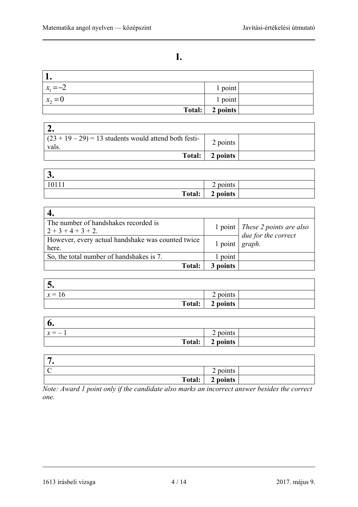### **I.**

| $x_1 = -2$ | 1 point  |  |
|------------|----------|--|
| $x_2=0$    | 1 point  |  |
| Total:     | 2 points |  |

| $(23 + 19 - 29) = 13$ students would attend both festi-<br>vals. | 2 points |  |
|------------------------------------------------------------------|----------|--|
| Total:                                                           | 2 points |  |

| $\sim$<br>◡. |                    |
|--------------|--------------------|
| 10111        | 2 points           |
|              | Total:<br>2 points |

| The number of handshakes recorded is              |                      | 1 point   These 2 points are also |
|---------------------------------------------------|----------------------|-----------------------------------|
| $2+3+4+3+2$ .                                     |                      | due for the correct               |
| However, every actual handshake was counted twice | $1$ point $ graph$ . |                                   |
| here.                                             |                      |                                   |
| So, the total number of handshakes is 7.          | 1 point              |                                   |
| <b>Total:</b>                                     | 3 points             |                                   |

| $\bm{\cup}$ |          |  |
|-------------|----------|--|
| $x = 16$    | 2 points |  |
| Total:      | 2 points |  |

| 6.      |          |  |
|---------|----------|--|
| $x = -$ | 2 points |  |
| Total:  | 2 points |  |

| -               |                                    |  |
|-----------------|------------------------------------|--|
| $\sqrt{ }$<br>╰ | $\sim$<br>points<br>$\overline{ }$ |  |
| Total:          | 2 points                           |  |

*Note: Award 1 point only if the candidate also marks an incorrect answer besides the correct one.* 

<sup>1613</sup> írásbeli vizsga 4 / 14 2017. május 9.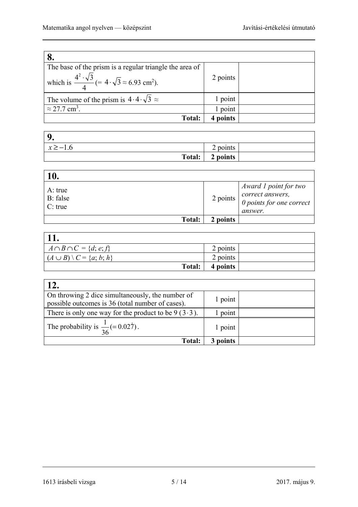| The base of the prism is a regular triangle the area of                                  |          |  |
|------------------------------------------------------------------------------------------|----------|--|
| which is $\frac{4^2 \cdot \sqrt{3}}{4}$ (= 4. $\sqrt{3} \approx 6.93$ cm <sup>2</sup> ). | 2 points |  |
| The volume of the prism is $4 \cdot 4 \cdot \sqrt{3} \approx$                            | 1 point  |  |
| $\approx$ 27.7 cm <sup>3</sup> .                                                         | point    |  |
| <b>Total:</b>                                                                            | points   |  |

| Q            |          |  |
|--------------|----------|--|
| $x \ge -1.6$ | 2 points |  |
| Total:       | 2 points |  |

| <b>10.</b>                        |          |                                                                                                                                     |
|-----------------------------------|----------|-------------------------------------------------------------------------------------------------------------------------------------|
| A: true<br>B: false<br>$C$ : true |          | Award 1 point for two<br>2 points $\begin{bmatrix} correct \ answers, \\ 0 \ points \ for \ one \ correct \end{bmatrix}$<br>answer. |
| Total:                            | 2 points |                                                                                                                                     |

| <b>11.</b>                                  |          |  |
|---------------------------------------------|----------|--|
| $A \cap B \cap C = \{d; e; f\}$             | 2 points |  |
| $\mid (A \cup B) \setminus C = \{a; b; h\}$ | 2 points |  |
| Total:                                      | 4 points |  |

| 12.                                                                                                  |         |  |
|------------------------------------------------------------------------------------------------------|---------|--|
| On throwing 2 dice simultaneously, the number of<br>possible outcomes is 36 (total number of cases). | 1 point |  |
| There is only one way for the product to be $9(3.3)$ .                                               | l point |  |
| The probability is $\frac{1}{36} (= 0.027)$ .                                                        | 1 point |  |
| <b>Total:</b>                                                                                        | points  |  |

1613 írásbeli vizsga 5 / 14 2017. május 9.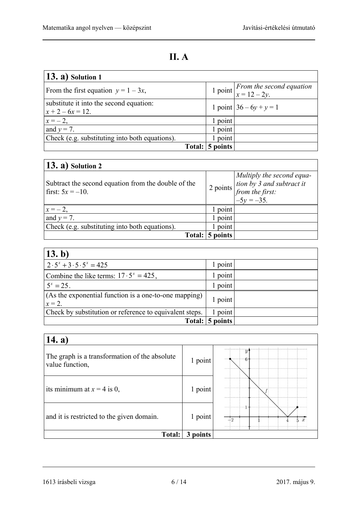## **II. A**

| $(13. a)$ Solution 1                                          |                 |                                                                             |
|---------------------------------------------------------------|-----------------|-----------------------------------------------------------------------------|
| From the first equation $y = 1 - 3x$ ,                        |                 | 1 point $\begin{cases}$ From the second equation $x = 12 - 2y. \end{cases}$ |
| substitute it into the second equation:<br>$x + 2 - 6x = 12.$ |                 | 1 point $36 - 6y + y = 1$                                                   |
| $x = -2$ ,                                                    | 1 point         |                                                                             |
| and $y = 7$ .                                                 | point           |                                                                             |
| Check (e.g. substituting into both equations).                | point           |                                                                             |
|                                                               | Total: 5 points |                                                                             |

| $(13. a)$ Solution 2                                                       |          |                                                                                            |
|----------------------------------------------------------------------------|----------|--------------------------------------------------------------------------------------------|
| Subtract the second equation from the double of the<br>first: $5x = -10$ . | 2 points | Multiply the second equa-<br>tion by 3 and subtract it<br>from the first:<br>$-5y = -35$ . |
| $x = -2$                                                                   | point    |                                                                                            |
| and $y = 7$ .                                                              | point    |                                                                                            |
| Check (e.g. substituting into both equations).                             | point    |                                                                                            |
| Total:                                                                     | 5 points |                                                                                            |

| 13. b)                                                           |          |  |
|------------------------------------------------------------------|----------|--|
| $2 \cdot 5^x + 3 \cdot 5 \cdot 5^x = 425$                        | 1 point  |  |
| Combine the like terms: $17 \cdot 5^x = 425$ ,                   | 1 point  |  |
| $5^x = 25$ .                                                     | point    |  |
| (As the exponential function is a one-to-one mapping)<br>$x=2$ . | 1 point  |  |
| Check by substitution or reference to equivalent steps.          | point    |  |
| Total:                                                           | 5 points |  |

| 14. $a)$                                                         |             |    |
|------------------------------------------------------------------|-------------|----|
| The graph is a transformation of the absolute<br>value function, | 1 point     | 6. |
| its minimum at $x = 4$ is 0,                                     | 1 point     |    |
| and it is restricted to the given domain.                        | 1 point     |    |
| <b>Total:</b>                                                    | points<br>3 |    |

1613 írásbeli vizsga 6 / 14 2017. május 9.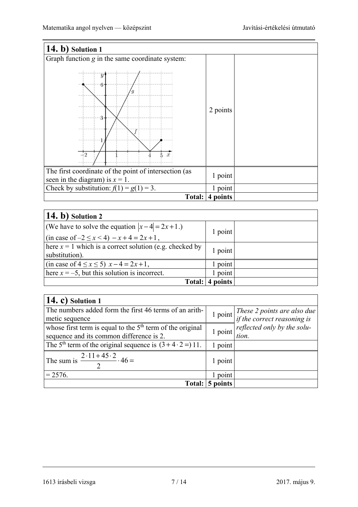| 14. b) Solution 1                                                                          |          |  |
|--------------------------------------------------------------------------------------------|----------|--|
| Graph function g in the same coordinate system:                                            |          |  |
| $\overline{y}$<br>$6 -$<br>3<br>$\frac{1}{2}$<br>$\boldsymbol{x}$                          | 2 points |  |
| The first coordinate of the point of intersection (as<br>seen in the diagram) is $x = 1$ . | 1 point  |  |
| Check by substitution: $f(1) = g(1) = 3$ .                                                 | 1 point  |  |
| Total:                                                                                     | 4 points |  |

| $(14. b)$ Solution 2                                       |         |  |
|------------------------------------------------------------|---------|--|
| (We have to solve the equation $ x-4  = 2x+1$ .)           | 1 point |  |
| $\sin \csc of -2 \leq x < 4$ – $x + 4 = 2x + 1$ ,          |         |  |
| There $x = 1$ which is a correct solution (e.g. checked by | 1 point |  |
| substitution).                                             |         |  |
| (in case of $4 \le x \le 5$ ) $x - 4 = 2x + 1$ ,           | 1 point |  |
| here $x = -5$ , but this solution is incorrect.            | 1 point |  |
| Total:                                                     | points  |  |

| $(14. c)$ Solution 1                                                     |         |                                                                                                      |
|--------------------------------------------------------------------------|---------|------------------------------------------------------------------------------------------------------|
| The numbers added form the first 46 terms of an arith-                   |         | $\frac{1 \text{ point}}{1 \text{ point}}$ These 2 points are also due<br>if the correct reasoning is |
| metic sequence                                                           |         |                                                                                                      |
| whose first term is equal to the $5th$ term of the original              | 1 point | reflected only by the solu-                                                                          |
| sequence and its common difference is 2.                                 |         | tion.                                                                                                |
| The 5 <sup>th</sup> term of the original sequence is $(3+4\cdot 2=)11$ . | point   |                                                                                                      |
| The sum is $\frac{2.11 + 45.2}{2}$ . 46 =                                | 1 point |                                                                                                      |
| $= 2576.$                                                                | point   |                                                                                                      |
| Total:                                                                   | points  |                                                                                                      |

1613 írásbeli vizsga 7 / 14 2017. május 9.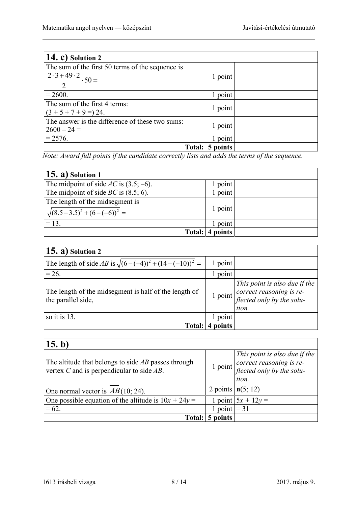| $(14. c)$ Solution 2                             |          |  |
|--------------------------------------------------|----------|--|
| The sum of the first 50 terms of the sequence is |          |  |
| $\frac{2\cdot3+49\cdot2}{2}\cdot50=$             | 1 point  |  |
|                                                  |          |  |
| $= 2600.$                                        | point    |  |
| The sum of the first 4 terms:                    | 1 point  |  |
| $(3 + 5 + 7 + 9 = 24.$                           |          |  |
| The answer is the difference of these two sums:  | 1 point  |  |
| $2600 - 24 =$                                    |          |  |
| $= 2576.$                                        | 1 point  |  |
| Total:                                           | 5 points |  |

*Note: Award full points if the candidate correctly lists and adds the terms of the sequence.* 

| $(15. a)$ Solution 1                                                 |          |  |
|----------------------------------------------------------------------|----------|--|
| The midpoint of side AC is $(3.5, -6)$ .                             | 1 point  |  |
| The midpoint of side <i>BC</i> is $(8.5, 6)$ .                       | 1 point  |  |
| The length of the midsegment is<br>$\sqrt{(8.5-3.5)^2+(6-(-6))^2}$ = | 1 point  |  |
| $= 13.$                                                              | 1 point  |  |
| Total:                                                               | 4 points |  |

| $(15. a)$ Solution 2                                                        |         |                                                                                                 |
|-----------------------------------------------------------------------------|---------|-------------------------------------------------------------------------------------------------|
| The length of side AB is $\sqrt{(6-(-4))^2 + (14-(-10))^2} =$               | 1 point |                                                                                                 |
| $= 26.$                                                                     | point   |                                                                                                 |
| The length of the midsegment is half of the length of<br>the parallel side, | 1 point | This point is also due if the<br>correct reasoning is re-<br>flected only by the solu-<br>tion. |
| so it is 13.                                                                | point   |                                                                                                 |
| Total:                                                                      | noints  |                                                                                                 |

| 15. b)                                                                                                  |              |                                                                                                              |
|---------------------------------------------------------------------------------------------------------|--------------|--------------------------------------------------------------------------------------------------------------|
| The altitude that belongs to side $AB$ passes through<br>vertex $C$ and is perpendicular to side $AB$ . |              | This point is also due if the<br>$\frac{1 \text{ point}}{1 \text{ point}}$ correct reasoning is re-<br>tion. |
| One normal vector is $AB(10; 24)$ .                                                                     |              | 2 points $n(5; 12)$                                                                                          |
| One possible equation of the altitude is $10x + 24y =$                                                  |              | point $5x + 12y =$                                                                                           |
| $= 62.$                                                                                                 | point $=$ 31 |                                                                                                              |
| Total:                                                                                                  | points       |                                                                                                              |

<sup>1613</sup> írásbeli vizsga 8 / 14 2017. május 9.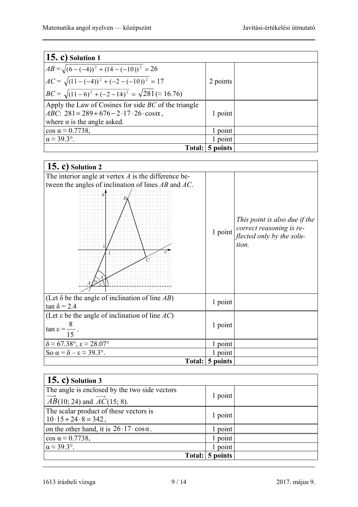| $(15. c)$ Solution 1                                             |          |  |
|------------------------------------------------------------------|----------|--|
| $AB = \sqrt{(6 - (-4))^2 + (14 - (-10))^2} = 26$                 |          |  |
| $AC = \sqrt{(11 - (-4))^2 + (-2 - (-10))^2} = 17$                | 2 points |  |
| $BC = \sqrt{(11-6)^2 + (-2-14)^2} = \sqrt{281} \approx 16.76$    |          |  |
| Apply the Law of Cosines for side $BC$ of the triangle           |          |  |
| $ABC: 281 = 289 + 676 - 2 \cdot 17 \cdot 26 \cdot \cos \alpha$ , | 1 point  |  |
| where $\alpha$ is the angle asked.                               |          |  |
| $\cos \alpha \approx 0.7738$ ,                                   | point    |  |
| $\alpha \approx 39.3^{\circ}$ .                                  | point    |  |
| Total:                                                           | 5 points |  |

| 15. c) Solution $2$                                                          |          |                                                                                                 |
|------------------------------------------------------------------------------|----------|-------------------------------------------------------------------------------------------------|
| The interior angle at vertex $A$ is the difference be-                       |          |                                                                                                 |
| tween the angles of inclination of lines $AB$ and $AC$ .                     |          |                                                                                                 |
| $\overline{y}$                                                               | 1 point  | This point is also due if the<br>correct reasoning is re-<br>flected only by the solu-<br>tion. |
| (Let $\delta$ be the angle of inclination of line AB)<br>$\tan \delta = 2.4$ | 1 point  |                                                                                                 |
| (Let $\varepsilon$ be the angle of inclination of line $AC$ )                |          |                                                                                                 |
| $\tan \varepsilon =$<br>15                                                   | 1 point  |                                                                                                 |
| $\delta \approx 67.38^{\circ}, \epsilon \approx 28.07^{\circ}$               | 1 point  |                                                                                                 |
| So $\alpha = \delta - \epsilon \approx 39.3^{\circ}$ .                       | 1 point  |                                                                                                 |
| Total:                                                                       | 5 points |                                                                                                 |

| 15. c) Solution $3$                                              |                 |  |
|------------------------------------------------------------------|-----------------|--|
| The angle is enclosed by the two side vectors                    | 1 point         |  |
| $\overrightarrow{AB}(10; 24)$ and $\overrightarrow{AC}(15; 8)$ . |                 |  |
| The scalar product of these vectors is                           | 1 point         |  |
| $10 \cdot 15 + 24 \cdot 8 = 342$ ,                               |                 |  |
| on the other hand, it is $26.17 \cdot \cos \alpha$ .             | point           |  |
| $\cos \alpha \approx 0.7738$ ,                                   | 1 point         |  |
| $\alpha \approx 39.3^{\circ}$ .                                  | point           |  |
|                                                                  | Total: 5 points |  |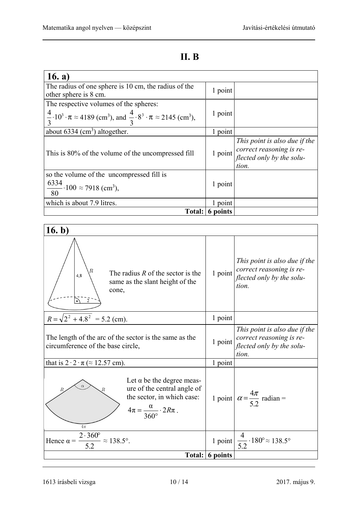### **II. B**

| 16. $a)$                                                                                                                             |          |                                                                                                                    |
|--------------------------------------------------------------------------------------------------------------------------------------|----------|--------------------------------------------------------------------------------------------------------------------|
| The radius of one sphere is 10 cm, the radius of the<br>other sphere is 8 cm.                                                        | 1 point  |                                                                                                                    |
|                                                                                                                                      |          |                                                                                                                    |
| The respective volumes of the spheres:                                                                                               |          |                                                                                                                    |
| $\frac{4}{3} \cdot 10^3 \cdot \pi \approx 4189 \text{ (cm}^3)$ , and $\frac{4}{3} \cdot 8^3 \cdot \pi \approx 2145 \text{ (cm}^3)$ , | 1 point  |                                                                                                                    |
| about $6334 \text{ (cm}^3)$ altogether.                                                                                              | 1 point  |                                                                                                                    |
| This is 80% of the volume of the uncompressed fill                                                                                   |          | This point is also due if the<br>$\frac{1 \text{ point}}{3}$ point $\frac{1}{3}$ correct reasoning is re-<br>tion. |
| so the volume of the uncompressed fill is                                                                                            |          |                                                                                                                    |
| $\frac{6334}{22}$ · 100 $\approx$ 7918 (cm <sup>3</sup> ),<br>80                                                                     | 1 point  |                                                                                                                    |
| which is about 7.9 litres.                                                                                                           | point    |                                                                                                                    |
| Total:                                                                                                                               | 6 points |                                                                                                                    |

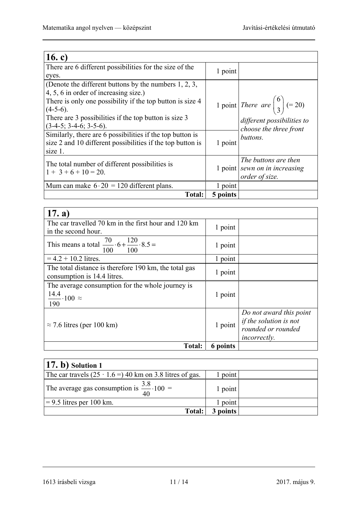| 16. c)                                                                                                                                                         |          |                                                                         |
|----------------------------------------------------------------------------------------------------------------------------------------------------------------|----------|-------------------------------------------------------------------------|
| There are 6 different possibilities for the size of the                                                                                                        | 1 point  |                                                                         |
| eyes.                                                                                                                                                          |          |                                                                         |
| (Denote the different buttons by the numbers $1, 2, 3$ ,<br>4, 5, 6 in order of increasing size.)<br>There is only one possibility if the top button is size 4 |          | 1 point There are $\begin{pmatrix} 6 \\ 3 \end{pmatrix}$ (= 20)         |
| $(4-5-6).$<br>There are 3 possibilities if the top button is size 3<br>$(3-4-5; 3-4-6; 3-5-6).$                                                                |          | different possibilities to<br>choose the three front                    |
| Similarly, there are 6 possibilities if the top button is<br>size 2 and 10 different possibilities if the top button is<br>size 1.                             | 1 point  | buttons.                                                                |
| The total number of different possibilities is<br>$1+3+6+10=20.$                                                                                               |          | The buttons are then<br>1 point sewn on in increasing<br>order of size. |
| Mum can make $6 \cdot 20 = 120$ different plans.                                                                                                               | 1 point  |                                                                         |
| <b>Total:</b>                                                                                                                                                  | 5 points |                                                                         |

| 17. a)                                                                    |          |                         |
|---------------------------------------------------------------------------|----------|-------------------------|
| The car travelled 70 km in the first hour and 120 km                      | 1 point  |                         |
| in the second hour.                                                       |          |                         |
| This means a total $\frac{70}{100} \cdot 6 + \frac{120}{100} \cdot 8.5 =$ | 1 point  |                         |
| $= 4.2 + 10.2$ litres.                                                    | 1 point  |                         |
| The total distance is therefore 190 km, the total gas                     | 1 point  |                         |
| consumption is 14.4 litres.                                               |          |                         |
| The average consumption for the whole journey is                          |          |                         |
| $\frac{14.4}{100}$ ~                                                      | 1 point  |                         |
| 190                                                                       |          |                         |
|                                                                           |          | Do not award this point |
| $\approx$ 7.6 litres (per 100 km)                                         | 1 point  | if the solution is not  |
|                                                                           |          | rounded or rounded      |
|                                                                           |          | <i>incorrectly.</i>     |
| <b>Total:</b>                                                             | 6 points |                         |

| $(17. b)$ Solution 1                                                             |          |  |
|----------------------------------------------------------------------------------|----------|--|
| The car travels $(25 \cdot 1.6 = 940 \text{ km on } 3.8 \text{ litres of gas.})$ | l point  |  |
| The average gas consumption is $\frac{3.8}{40} \cdot 100 =$                      | 1 point  |  |
| $= 9.5$ litres per 100 km.                                                       | 1 point  |  |
| Total:                                                                           | 3 points |  |

<sup>1613</sup> írásbeli vizsga 11 / 14 2017. május 9.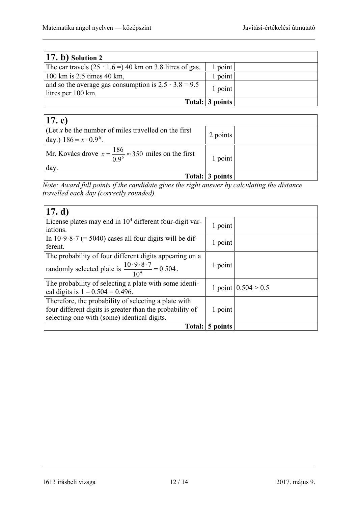| $(17. b)$ Solution 2                                                              |                 |  |
|-----------------------------------------------------------------------------------|-----------------|--|
| The car travels $(25 \cdot 1.6 = 940 \text{ km on } 3.8 \text{ litres of gas.})$  | point           |  |
| $100 \text{ km}$ is 2.5 times 40 km,                                              | point           |  |
| and so the average gas consumption is $2.5 \cdot 3.8 = 9.5$<br>litres per 100 km. | 1 point         |  |
|                                                                                   | Total: 3 points |  |

| $ 17$ . c)                                                                                |                 |  |
|-------------------------------------------------------------------------------------------|-----------------|--|
| $ $ (Let x be the number of miles travelled on the first<br>day.) $186 = x \cdot 0.9^6$ . | 2 points        |  |
| Mr. Kovács drove $x = \frac{186}{0.9^6} \approx 350$ miles on the first<br>day.           | 1 point         |  |
|                                                                                           | Total: 3 points |  |

*Note: Award full points if the candidate gives the right answer by calculating the distance travelled each day (correctly rounded).*

| 17. d)                                                                                                                                                          |          |                       |
|-----------------------------------------------------------------------------------------------------------------------------------------------------------------|----------|-----------------------|
| License plates may end in $104$ different four-digit var-<br>iations.                                                                                           | 1 point  |                       |
| In $10.9.8.7$ (= 5040) cases all four digits will be dif-<br>ferent.                                                                                            | 1 point  |                       |
| The probability of four different digits appearing on a<br>randomly selected plate is $\frac{10.9.8 \cdot 7}{10^4} = 0.504$ .                                   | 1 point  |                       |
| The probability of selecting a plate with some identi-<br>cal digits is $1 - 0.504 = 0.496$ .                                                                   |          | 1 point $0.504 > 0.5$ |
| Therefore, the probability of selecting a plate with<br>four different digits is greater than the probability of<br>selecting one with (some) identical digits. | 1 point  |                       |
| Total:                                                                                                                                                          | 5 points |                       |

1613 írásbeli vizsga 12 / 14 2017. május 9.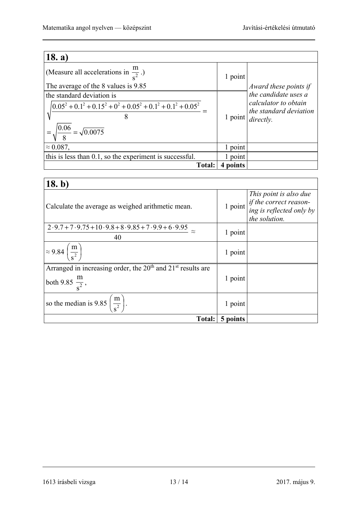| 18. a)                                                             |          |                                                |
|--------------------------------------------------------------------|----------|------------------------------------------------|
| (Measure all accelerations in $\frac{m}{a^2}$ .)                   | 1 point  |                                                |
| The average of the 8 values is 9.85                                |          | Award these points if                          |
| the standard deviation is                                          |          | the candidate uses a                           |
| $(0.05^2 + 0.1^2 + 0.15^2 + 0^2 + 0.05^2 + 0.1^2 + 0.1^2 + 0.05^2$ |          | calculator to obtain<br>the standard deviation |
| 8                                                                  | 1 point  | directly.                                      |
| $=\sqrt{\frac{0.06}{8}}=\sqrt{0.0075}$                             |          |                                                |
| $\approx 0.087$ ,                                                  | l point  |                                                |
| this is less than 0.1, so the experiment is successful.            | 1 point  |                                                |
| <b>Total:</b>                                                      | 4 points |                                                |

| 18. b)                                                                                         |          |                                                                                                                                         |
|------------------------------------------------------------------------------------------------|----------|-----------------------------------------------------------------------------------------------------------------------------------------|
| Calculate the average as weighed arithmetic mean.                                              |          | This point is also due<br>1 point $\left  \text{if the correct reason-} \atop \text{ing is reflected only by} \right $<br>the solution. |
| $2.9.7 + 7.9.75 + 10.9.8 + 8.9.85 + 7.9.9 + 6.9.95$<br>40                                      | 1 point  |                                                                                                                                         |
| $\approx 9.84 \left(\frac{\text{m}}{\text{s}^2}\right)$                                        | 1 point  |                                                                                                                                         |
| Arranged in increasing order, the $20th$ and $21st$ results are<br>both 9.85 $\frac{m}{s^2}$ , | 1 point  |                                                                                                                                         |
| so the median is 9.85 $\left(\frac{m}{s^2}\right)$ .                                           | 1 point  |                                                                                                                                         |
| <b>Total:</b>                                                                                  | 5 points |                                                                                                                                         |

1613 írásbeli vizsga 13 / 14 2017. május 9.